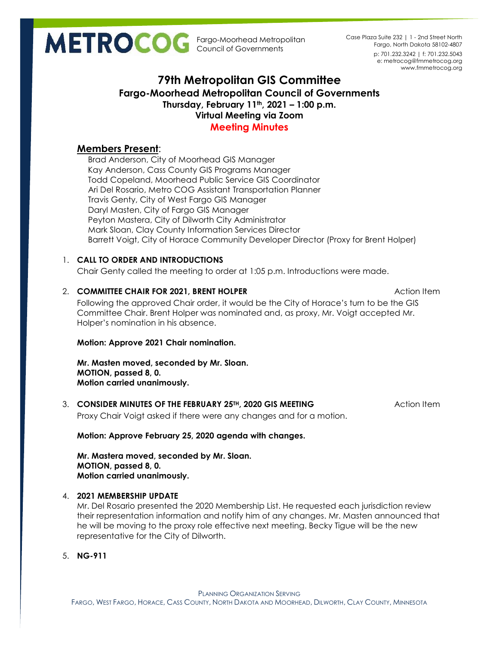Fargo-Moorhead Metropolitan Council of Governments

p: 701.232.3242 | f: 701.232.5043 e: metrocog@fmmetrocog.org www.fmmetrocog.org Case Plaza Suite 232 | 1 - 2nd Street North Fargo, North Dakota 58102-4807

# **79th Metropolitan GIS Committee Fargo-Moorhead Metropolitan Council of Governments Thursday, February 11th, 2021 – 1:00 p.m. Virtual Meeting via Zoom Meeting Minutes**

## **Members Present**:

Brad Anderson, City of Moorhead GIS Manager Kay Anderson, Cass County GIS Programs Manager Todd Copeland, Moorhead Public Service GIS Coordinator Ari Del Rosario, Metro COG Assistant Transportation Planner Travis Genty, City of West Fargo GIS Manager Daryl Masten, City of Fargo GIS Manager Peyton Mastera, City of Dilworth City Administrator Mark Sloan, Clay County Information Services Director Barrett Voigt, City of Horace Community Developer Director (Proxy for Brent Holper)

## 1. **CALL TO ORDER AND INTRODUCTIONS**

Chair Genty called the meeting to order at 1:05 p.m. Introductions were made.

# 2. **COMMITTEE CHAIR FOR 2021, BRENT HOLPER Action Item Action Item Action Item**

Following the approved Chair order, it would be the City of Horace's turn to be the GIS Committee Chair. Brent Holper was nominated and, as proxy, Mr. Voigt accepted Mr. Holper's nomination in his absence.

## **Motion: Approve 2021 Chair nomination.**

**Mr. Masten moved, seconded by Mr. Sloan. MOTION, passed 8, 0. Motion carried unanimously.**

# 3. **CONSIDER MINUTES OF THE FEBRUARY 25TH, 2020 GIS MEETING** Action Item

Proxy Chair Voigt asked if there were any changes and for a motion.

## **Motion: Approve February 25, 2020 agenda with changes.**

**Mr. Mastera moved, seconded by Mr. Sloan. MOTION, passed 8, 0. Motion carried unanimously.**

## 4. **2021 MEMBERSHIP UPDATE**

Mr. Del Rosario presented the 2020 Membership List. He requested each jurisdiction review their representation information and notify him of any changes. Mr. Masten announced that he will be moving to the proxy role effective next meeting. Becky Tigue will be the new representative for the City of Dilworth.

5. **NG-911**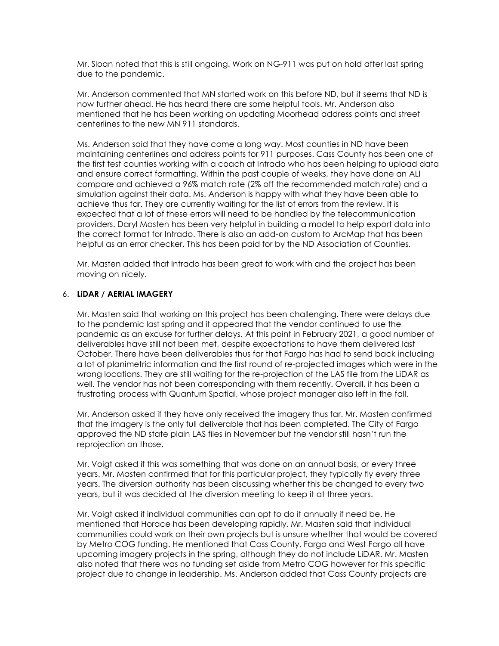Mr. Sloan noted that this is still ongoing. Work on NG-911 was put on hold after last spring due to the pandemic.

Mr. Anderson commented that MN started work on this before ND, but it seems that ND is now further ahead. He has heard there are some helpful tools. Mr. Anderson also mentioned that he has been working on updating Moorhead address points and street centerlines to the new MN 911 standards.

Ms. Anderson said that they have come a long way. Most counties in ND have been maintaining centerlines and address points for 911 purposes. Cass County has been one of the first test counties working with a coach at Intrado who has been helping to upload data and ensure correct formatting. Within the past couple of weeks, they have done an ALI compare and achieved a 96% match rate (2% off the recommended match rate) and a simulation against their data. Ms. Anderson is happy with what they have been able to achieve thus far. They are currently waiting for the list of errors from the review. It is expected that a lot of these errors will need to be handled by the telecommunication providers. Daryl Masten has been very helpful in building a model to help export data into the correct format for Intrado. There is also an add-on custom to ArcMap that has been helpful as an error checker. This has been paid for by the ND Association of Counties.

Mr. Masten added that Intrado has been great to work with and the project has been moving on nicely.

#### 6. **LiDAR / AERIAL IMAGERY**

Mr. Masten said that working on this project has been challenging. There were delays due to the pandemic last spring and it appeared that the vendor continued to use the pandemic as an excuse for further delays. At this point in February 2021, a good number of deliverables have still not been met, despite expectations to have them delivered last October. There have been deliverables thus far that Fargo has had to send back including a lot of planimetric information and the first round of re-projected images which were in the wrong locations. They are still waiting for the re-projection of the LAS file from the LiDAR as well. The vendor has not been corresponding with them recently. Overall, it has been a frustrating process with Quantum Spatial, whose project manager also left in the fall.

Mr. Anderson asked if they have only received the imagery thus far. Mr. Masten confirmed that the imagery is the only full deliverable that has been completed. The City of Fargo approved the ND state plain LAS files in November but the vendor still hasn't run the reprojection on those.

Mr. Voigt asked if this was something that was done on an annual basis, or every three years. Mr. Masten confirmed that for this particular project, they typically fly every three years. The diversion authority has been discussing whether this be changed to every two years, but it was decided at the diversion meeting to keep it at three years.

Mr. Voigt asked if individual communities can opt to do it annually if need be. He mentioned that Horace has been developing rapidly. Mr. Masten said that individual communities could work on their own projects but is unsure whether that would be covered by Metro COG funding. He mentioned that Cass County, Fargo and West Fargo all have upcoming imagery projects in the spring, although they do not include LiDAR. Mr. Masten also noted that there was no funding set aside from Metro COG however for this specific project due to change in leadership. Ms. Anderson added that Cass County projects are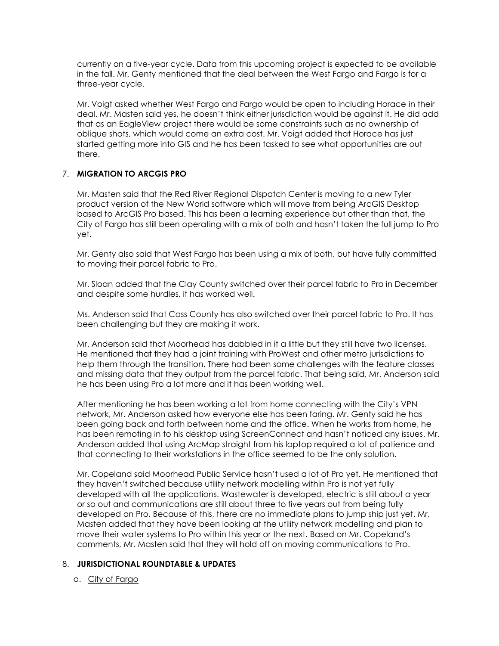currently on a five-year cycle. Data from this upcoming project is expected to be available in the fall. Mr. Genty mentioned that the deal between the West Fargo and Fargo is for a three-year cycle.

Mr. Voigt asked whether West Fargo and Fargo would be open to including Horace in their deal. Mr. Masten said yes, he doesn't think either jurisdiction would be against it. He did add that as an EagleView project there would be some constraints such as no ownership of oblique shots, which would come an extra cost. Mr. Voigt added that Horace has just started getting more into GIS and he has been tasked to see what opportunities are out there.

## 7. **MIGRATION TO ARCGIS PRO**

Mr. Masten said that the Red River Regional Dispatch Center is moving to a new Tyler product version of the New World software which will move from being ArcGIS Desktop based to ArcGIS Pro based. This has been a learning experience but other than that, the City of Fargo has still been operating with a mix of both and hasn't taken the full jump to Pro yet.

Mr. Genty also said that West Fargo has been using a mix of both, but have fully committed to moving their parcel fabric to Pro.

Mr. Sloan added that the Clay County switched over their parcel fabric to Pro in December and despite some hurdles, it has worked well.

Ms. Anderson said that Cass County has also switched over their parcel fabric to Pro. It has been challenging but they are making it work.

Mr. Anderson said that Moorhead has dabbled in it a little but they still have two licenses. He mentioned that they had a joint training with ProWest and other metro jurisdictions to help them through the transition. There had been some challenges with the feature classes and missing data that they output from the parcel fabric. That being said, Mr. Anderson said he has been using Pro a lot more and it has been working well.

After mentioning he has been working a lot from home connecting with the City's VPN network, Mr. Anderson asked how everyone else has been faring. Mr. Genty said he has been going back and forth between home and the office. When he works from home, he has been remoting in to his desktop using ScreenConnect and hasn't noticed any issues. Mr. Anderson added that using ArcMap straight from his laptop required a lot of patience and that connecting to their workstations in the office seemed to be the only solution.

Mr. Copeland said Moorhead Public Service hasn't used a lot of Pro yet. He mentioned that they haven't switched because utility network modelling within Pro is not yet fully developed with all the applications. Wastewater is developed, electric is still about a year or so out and communications are still about three to five years out from being fully developed on Pro. Because of this, there are no immediate plans to jump ship just yet. Mr. Masten added that they have been looking at the utility network modelling and plan to move their water systems to Pro within this year or the next. Based on Mr. Copeland's comments, Mr. Masten said that they will hold off on moving communications to Pro.

#### 8. **JURISDICTIONAL ROUNDTABLE & UPDATES**

a. City of Fargo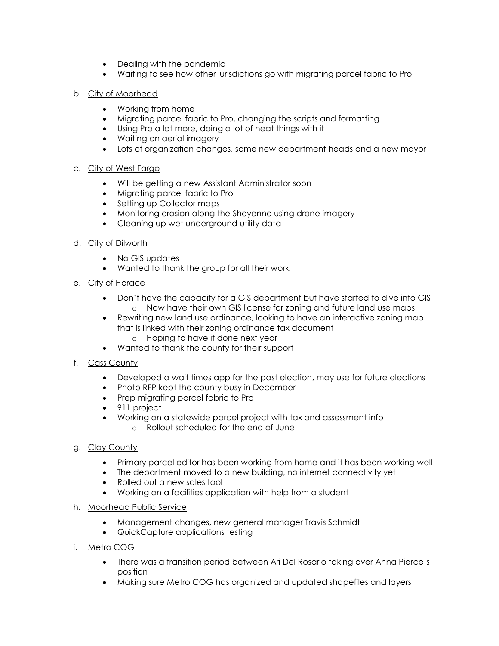- Dealing with the pandemic
- Waiting to see how other jurisdictions go with migrating parcel fabric to Pro

### b. City of Moorhead

- Working from home
- Migrating parcel fabric to Pro, changing the scripts and formatting
- Using Pro a lot more, doing a lot of neat things with it
- Waiting on aerial imagery
- Lots of organization changes, some new department heads and a new mayor

#### c. City of West Fargo

- Will be getting a new Assistant Administrator soon
- Migrating parcel fabric to Pro
- Setting up Collector maps
- Monitoring erosion along the Sheyenne using drone imagery
- Cleaning up wet underground utility data

#### d. City of Dilworth

- No GIS updates
- Wanted to thank the group for all their work

## e. City of Horace

- Don't have the capacity for a GIS department but have started to dive into GIS o Now have their own GIS license for zoning and future land use maps
- Rewriting new land use ordinance, looking to have an interactive zoning map that is linked with their zoning ordinance tax document o Hoping to have it done next year
- Wanted to thank the county for their support
- f. Cass County
	- Developed a wait times app for the past election, may use for future elections
	- Photo RFP kept the county busy in December
	- Prep migrating parcel fabric to Pro
	- 911 project
	- Working on a statewide parcel project with tax and assessment info o Rollout scheduled for the end of June

## g. Clay County

- Primary parcel editor has been working from home and it has been working well
- The department moved to a new building, no internet connectivity yet
- Rolled out a new sales tool
- Working on a facilities application with help from a student

#### h. Moorhead Public Service

- Management changes, new general manager Travis Schmidt
- QuickCapture applications testing
- i. Metro COG
	- There was a transition period between Ari Del Rosario taking over Anna Pierce's position
	- Making sure Metro COG has organized and updated shapefiles and layers